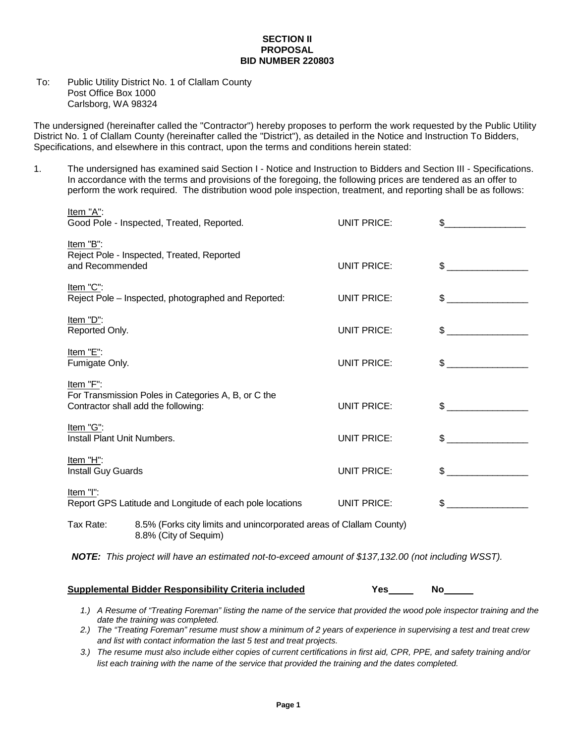## **SECTION II PROPOSAL BID NUMBER 220803**

## To: Public Utility District No. 1 of Clallam County Post Office Box 1000 Carlsborg, WA 98324

The undersigned (hereinafter called the "Contractor") hereby proposes to perform the work requested by the Public Utility District No. 1 of Clallam County (hereinafter called the "District"), as detailed in the Notice and Instruction To Bidders, Specifications, and elsewhere in this contract, upon the terms and conditions herein stated:

1. The undersigned has examined said Section I - Notice and Instruction to Bidders and Section III - Specifications. In accordance with the terms and provisions of the foregoing, the following prices are tendered as an offer to perform the work required. The distribution wood pole inspection, treatment, and reporting shall be as follows:

| <u>Item "A"</u> :<br>Good Pole - Inspected, Treated, Reported.                                          |                                                                                              | UNIT PRICE:        |              |
|---------------------------------------------------------------------------------------------------------|----------------------------------------------------------------------------------------------|--------------------|--------------|
| Item "B":<br>Reject Pole - Inspected, Treated, Reported<br>and Recommended                              |                                                                                              | <b>UNIT PRICE:</b> | $\sim$       |
| Item "C":<br>Reject Pole - Inspected, photographed and Reported:                                        |                                                                                              | <b>UNIT PRICE:</b> |              |
| Item "D":<br>Reported Only.                                                                             |                                                                                              | UNIT PRICE:        | $\sim$       |
| Item "E":<br>Fumigate Only.                                                                             |                                                                                              | <b>UNIT PRICE:</b> | $\sim$       |
| Item "F":<br>For Transmission Poles in Categories A, B, or C the<br>Contractor shall add the following: |                                                                                              | UNIT PRICE:        | $\mathbb S$  |
| Item "G":<br>Install Plant Unit Numbers.                                                                |                                                                                              | <b>UNIT PRICE:</b> | $\sim$       |
| Item "H":<br>Install Guy Guards                                                                         |                                                                                              | <b>UNIT PRICE:</b> | $\mathbb{S}$ |
| Item "I":<br>Report GPS Latitude and Longitude of each pole locations                                   |                                                                                              | <b>UNIT PRICE:</b> | $\mathbb{S}$ |
| Tax Rate:                                                                                               | 8.5% (Forks city limits and unincorporated areas of Clallam County)<br>8.8% (City of Sequim) |                    |              |
| NOTE: This project will have an estimated not-to-exceed amount of \$137,132.00 (not including WSST).    |                                                                                              |                    |              |

## **Supplemental Bidder Responsibility Criteria included Yes No**

- *1.) A Resume of "Treating Foreman" listing the name of the service that provided the wood pole inspector training and the date the training was completed.*
- *2.) The "Treating Foreman" resume must show a minimum of 2 years of experience in supervising a test and treat crew and list with contact information the last 5 test and treat projects.*
- *3.) The resume must also include either copies of current certifications in first aid, CPR, PPE, and safety training and/or list each training with the name of the service that provided the training and the dates completed.*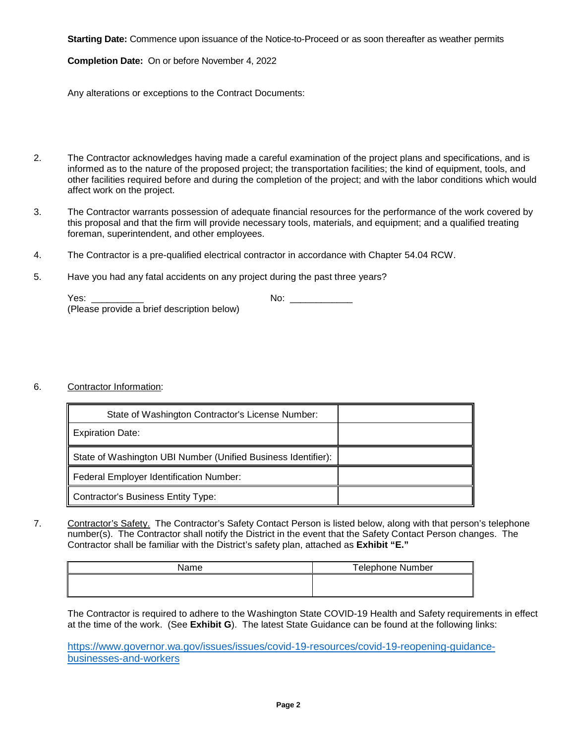**Starting Date:** Commence upon issuance of the Notice-to-Proceed or as soon thereafter as weather permits

**Completion Date:** On or before November 4, 2022

Any alterations or exceptions to the Contract Documents:

- 2. The Contractor acknowledges having made a careful examination of the project plans and specifications, and is informed as to the nature of the proposed project; the transportation facilities; the kind of equipment, tools, and other facilities required before and during the completion of the project; and with the labor conditions which would affect work on the project.
- 3. The Contractor warrants possession of adequate financial resources for the performance of the work covered by this proposal and that the firm will provide necessary tools, materials, and equipment; and a qualified treating foreman, superintendent, and other employees.
- 4. The Contractor is a pre-qualified electrical contractor in accordance with Chapter 54.04 RCW.
- 5. Have you had any fatal accidents on any project during the past three years?

| Yes:                                       | No: |
|--------------------------------------------|-----|
| (Please provide a brief description below) |     |

## 6. Contractor Information:

| State of Washington Contractor's License Number:              |  |
|---------------------------------------------------------------|--|
| <b>Expiration Date:</b>                                       |  |
| State of Washington UBI Number (Unified Business Identifier): |  |
| Federal Employer Identification Number:                       |  |
| <b>Contractor's Business Entity Type:</b>                     |  |

7. Contractor's Safety. The Contractor's Safety Contact Person is listed below, along with that person's telephone number(s). The Contractor shall notify the District in the event that the Safety Contact Person changes. The Contractor shall be familiar with the District's safety plan, attached as **Exhibit "E."**

| Name | <b>Telephone Number</b> |
|------|-------------------------|
|      |                         |
|      |                         |

The Contractor is required to adhere to the Washington State COVID-19 Health and Safety requirements in effect at the time of the work. (See **Exhibit G**). The latest State Guidance can be found at the following links:

[https://www.governor.wa.gov/issues/issues/covid-19-resources/covid-19-reopening-guidance](https://www.governor.wa.gov/issues/issues/covid-19-resources/covid-19-reopening-guidance-businesses-and-workers)[businesses-and-workers](https://www.governor.wa.gov/issues/issues/covid-19-resources/covid-19-reopening-guidance-businesses-and-workers)